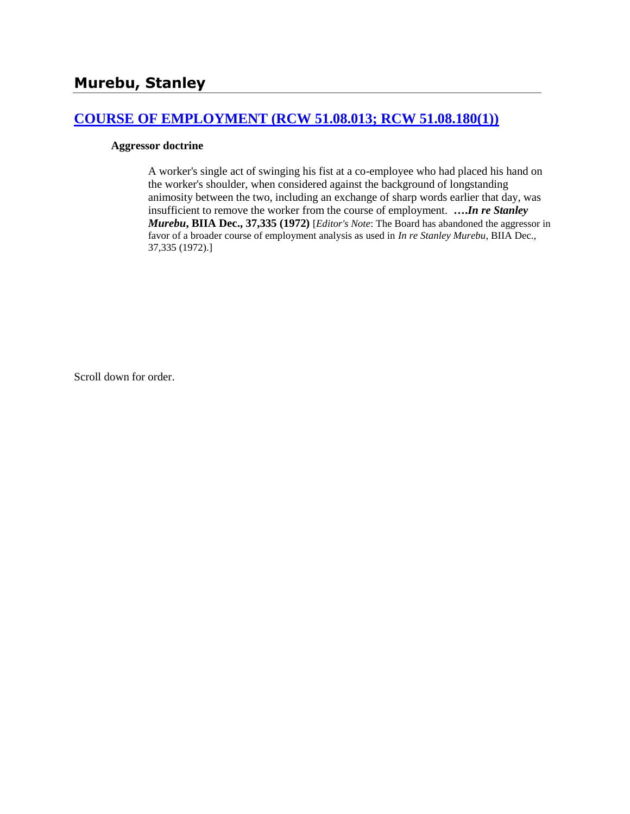## **[COURSE OF EMPLOYMENT \(RCW 51.08.013; RCW 51.08.180\(1\)\)](http://www.biia.wa.gov/SDSubjectIndex.html#COURSE_OF_EMPLOYMENT)**

### **Aggressor doctrine**

A worker's single act of swinging his fist at a co-employee who had placed his hand on the worker's shoulder, when considered against the background of longstanding animosity between the two, including an exchange of sharp words earlier that day, was insufficient to remove the worker from the course of employment. **….***In re Stanley Murebu***, BIIA Dec., 37,335 (1972)** [*Editor's Note*: The Board has abandoned the aggressor in favor of a broader course of employment analysis as used in *In re Stanley Murebu*, BIIA Dec., 37,335 (1972).]

Scroll down for order.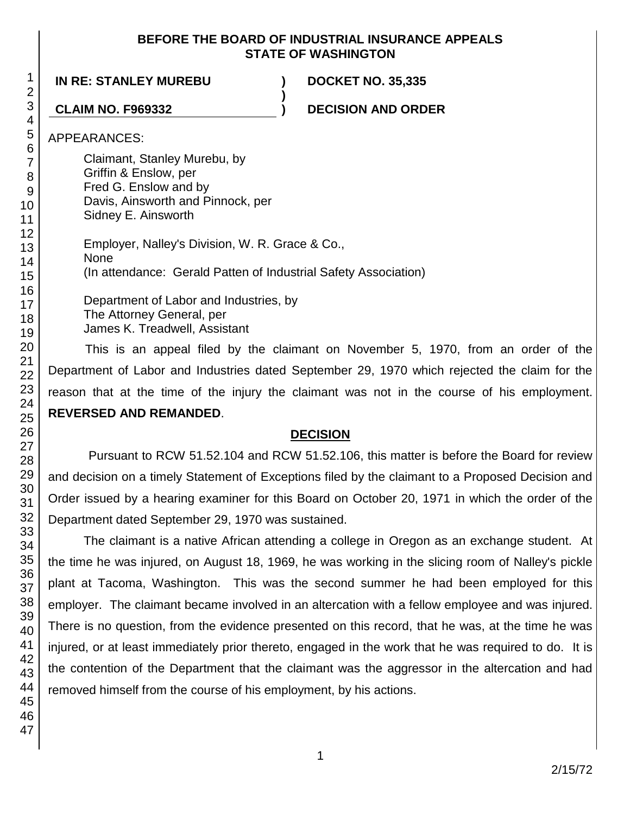### **BEFORE THE BOARD OF INDUSTRIAL INSURANCE APPEALS STATE OF WASHINGTON**

**)**

## **IN RE: STANLEY MUREBU ) DOCKET NO. 35,335**

**CLAIM NO. F969332 ) DECISION AND ORDER**

APPEARANCES:

- Claimant, Stanley Murebu, by
- Griffin & Enslow, per
- Fred G. Enslow and by
- Davis, Ainsworth and Pinnock, per
- Sidney E. Ainsworth
	- Employer, Nalley's Division, W. R. Grace & Co., None (In attendance: Gerald Patten of Industrial Safety Association) Department of Labor and Industries, by
	- The Attorney General, per James K. Treadwell, Assistant

This is an appeal filed by the claimant on November 5, 1970, from an order of the Department of Labor and Industries dated September 29, 1970 which rejected the claim for the reason that at the time of the injury the claimant was not in the course of his employment. **REVERSED AND REMANDED**.

# **DECISION**

Pursuant to RCW 51.52.104 and RCW 51.52.106, this matter is before the Board for review and decision on a timely Statement of Exceptions filed by the claimant to a Proposed Decision and Order issued by a hearing examiner for this Board on October 20, 1971 in which the order of the Department dated September 29, 1970 was sustained.

The claimant is a native African attending a college in Oregon as an exchange student. At the time he was injured, on August 18, 1969, he was working in the slicing room of Nalley's pickle plant at Tacoma, Washington. This was the second summer he had been employed for this employer. The claimant became involved in an altercation with a fellow employee and was injured. There is no question, from the evidence presented on this record, that he was, at the time he was injured, or at least immediately prior thereto, engaged in the work that he was required to do. It is the contention of the Department that the claimant was the aggressor in the altercation and had removed himself from the course of his employment, by his actions.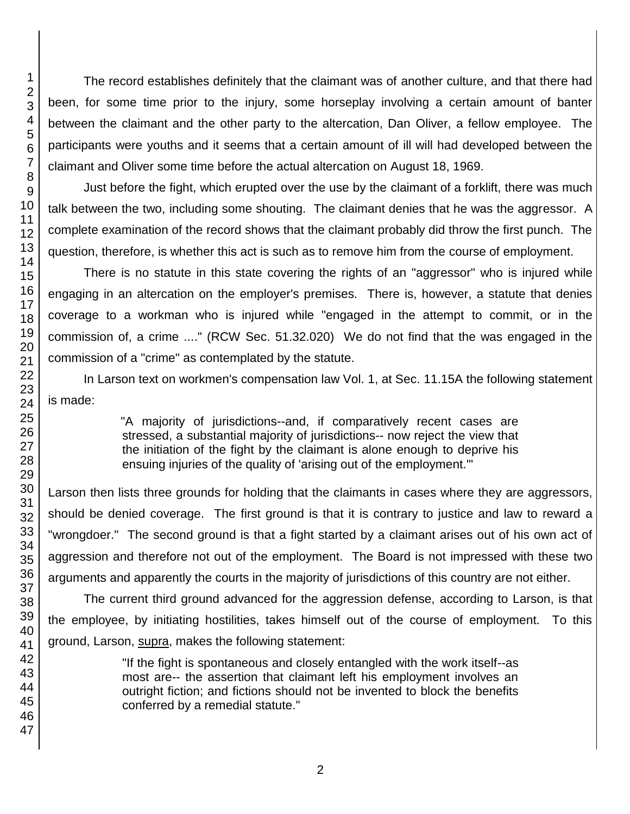The record establishes definitely that the claimant was of another culture, and that there had been, for some time prior to the injury, some horseplay involving a certain amount of banter between the claimant and the other party to the altercation, Dan Oliver, a fellow employee. The participants were youths and it seems that a certain amount of ill will had developed between the claimant and Oliver some time before the actual altercation on August 18, 1969.

Just before the fight, which erupted over the use by the claimant of a forklift, there was much talk between the two, including some shouting. The claimant denies that he was the aggressor. A complete examination of the record shows that the claimant probably did throw the first punch. The question, therefore, is whether this act is such as to remove him from the course of employment.

There is no statute in this state covering the rights of an "aggressor" who is injured while engaging in an altercation on the employer's premises. There is, however, a statute that denies coverage to a workman who is injured while "engaged in the attempt to commit, or in the commission of, a crime ...." (RCW Sec. 51.32.020) We do not find that the was engaged in the commission of a "crime" as contemplated by the statute.

In Larson text on workmen's compensation law Vol. 1, at Sec. 11.15A the following statement is made:

> "A majority of jurisdictions--and, if comparatively recent cases are stressed, a substantial majority of jurisdictions-- now reject the view that the initiation of the fight by the claimant is alone enough to deprive his ensuing injuries of the quality of 'arising out of the employment.'"

Larson then lists three grounds for holding that the claimants in cases where they are aggressors, should be denied coverage. The first ground is that it is contrary to justice and law to reward a "wrongdoer." The second ground is that a fight started by a claimant arises out of his own act of aggression and therefore not out of the employment. The Board is not impressed with these two arguments and apparently the courts in the majority of jurisdictions of this country are not either.

The current third ground advanced for the aggression defense, according to Larson, is that the employee, by initiating hostilities, takes himself out of the course of employment. To this ground, Larson, supra, makes the following statement:

> "If the fight is spontaneous and closely entangled with the work itself--as most are-- the assertion that claimant left his employment involves an outright fiction; and fictions should not be invented to block the benefits conferred by a remedial statute."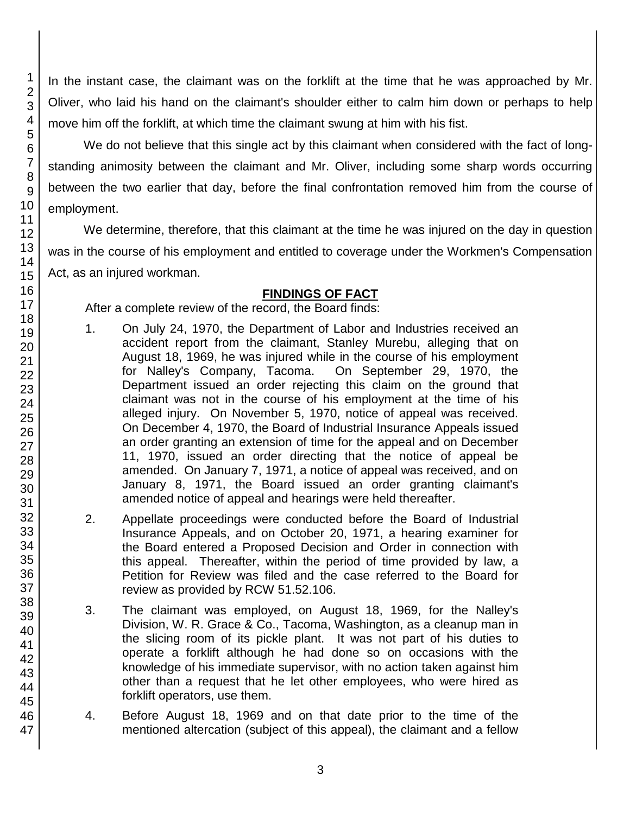In the instant case, the claimant was on the forklift at the time that he was approached by Mr. Oliver, who laid his hand on the claimant's shoulder either to calm him down or perhaps to help move him off the forklift, at which time the claimant swung at him with his fist.

We do not believe that this single act by this claimant when considered with the fact of longstanding animosity between the claimant and Mr. Oliver, including some sharp words occurring between the two earlier that day, before the final confrontation removed him from the course of employment.

We determine, therefore, that this claimant at the time he was injured on the day in question was in the course of his employment and entitled to coverage under the Workmen's Compensation Act, as an injured workman.

# **FINDINGS OF FACT**

After a complete review of the record, the Board finds:

- 1. On July 24, 1970, the Department of Labor and Industries received an accident report from the claimant, Stanley Murebu, alleging that on August 18, 1969, he was injured while in the course of his employment for Nalley's Company, Tacoma. On September 29, 1970, the Department issued an order rejecting this claim on the ground that claimant was not in the course of his employment at the time of his alleged injury. On November 5, 1970, notice of appeal was received. On December 4, 1970, the Board of Industrial Insurance Appeals issued an order granting an extension of time for the appeal and on December 11, 1970, issued an order directing that the notice of appeal be amended. On January 7, 1971, a notice of appeal was received, and on January 8, 1971, the Board issued an order granting claimant's amended notice of appeal and hearings were held thereafter.
- 2. Appellate proceedings were conducted before the Board of Industrial Insurance Appeals, and on October 20, 1971, a hearing examiner for the Board entered a Proposed Decision and Order in connection with this appeal. Thereafter, within the period of time provided by law, a Petition for Review was filed and the case referred to the Board for review as provided by RCW 51.52.106.
- 3. The claimant was employed, on August 18, 1969, for the Nalley's Division, W. R. Grace & Co., Tacoma, Washington, as a cleanup man in the slicing room of its pickle plant. It was not part of his duties to operate a forklift although he had done so on occasions with the knowledge of his immediate supervisor, with no action taken against him other than a request that he let other employees, who were hired as forklift operators, use them.
- 4. Before August 18, 1969 and on that date prior to the time of the mentioned altercation (subject of this appeal), the claimant and a fellow